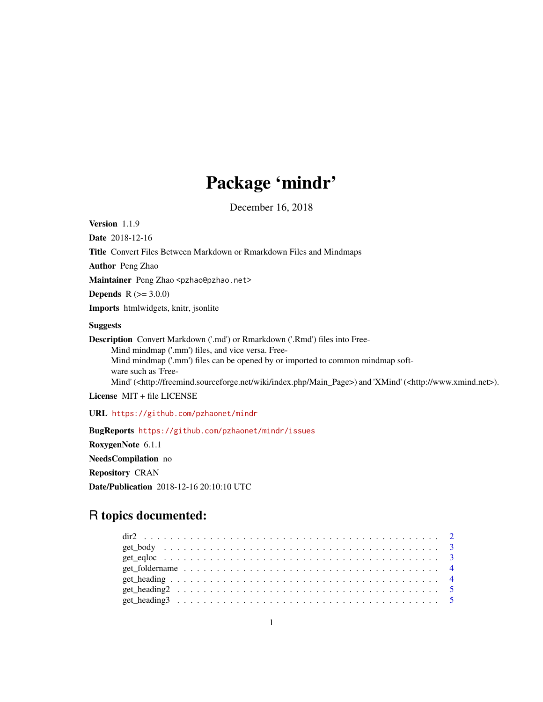## Package 'mindr'

December 16, 2018

Version 1.1.9

Date 2018-12-16

Title Convert Files Between Markdown or Rmarkdown Files and Mindmaps

Author Peng Zhao

Maintainer Peng Zhao <pzhao@pzhao.net>

**Depends**  $R (= 3.0.0)$ 

Imports htmlwidgets, knitr, jsonlite

#### Suggests

Description Convert Markdown ('.md') or Rmarkdown ('.Rmd') files into Free-Mind mindmap ('.mm') files, and vice versa. Free-Mind mindmap ('.mm') files can be opened by or imported to common mindmap software such as 'Free-Mind' (<http://freemind.sourceforge.net/wiki/index.php/Main\_Page>) and 'XMind' (<http://www.xmind.net>).

License MIT + file LICENSE

URL <https://github.com/pzhaonet/mindr>

BugReports <https://github.com/pzhaonet/mindr/issues> RoxygenNote 6.1.1 NeedsCompilation no Repository CRAN Date/Publication 2018-12-16 20:10:10 UTC

### R topics documented: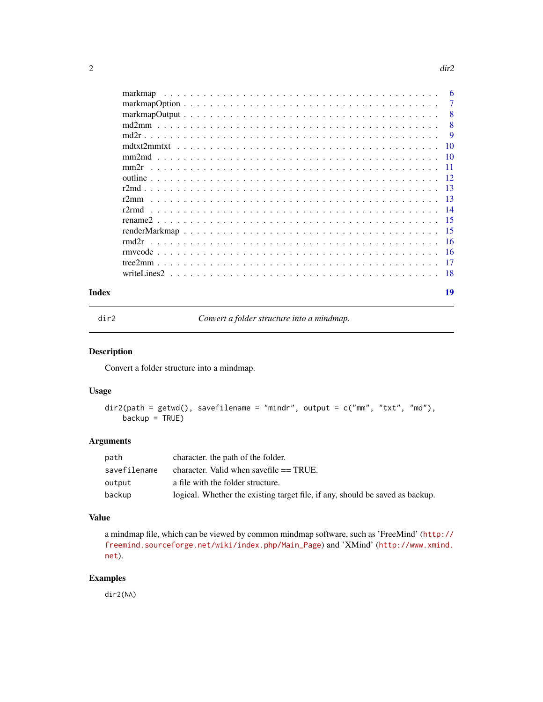<span id="page-1-0"></span>

|       | markmap | -6             |
|-------|---------|----------------|
|       |         | $\overline{7}$ |
|       |         | - 8            |
|       |         | -8             |
|       |         | - 9            |
|       |         |                |
|       |         |                |
|       |         |                |
|       |         |                |
|       |         |                |
|       | r2mm    |                |
|       |         |                |
|       |         |                |
|       |         |                |
|       |         |                |
|       |         |                |
|       |         |                |
|       |         |                |
| Index |         | 19             |

dir2 *Convert a folder structure into a mindmap.*

#### Description

Convert a folder structure into a mindmap.

#### Usage

```
dir2(path = getwd(), savefilename = "mindr", output = c("mm", "txt", "md"),backup = TRUE)
```
#### Arguments

| path         | character, the path of the folder.                                            |
|--------------|-------------------------------------------------------------------------------|
| savefilename | character. Valid when save file $==$ TRUE.                                    |
| output       | a file with the folder structure.                                             |
| backup       | logical. Whether the existing target file, if any, should be saved as backup. |

#### Value

a mindmap file, which can be viewed by common mindmap software, such as 'FreeMind' ([http://](http://freemind.sourceforge.net/wiki/index.php/Main_Page) [freemind.sourceforge.net/wiki/index.php/Main\\_Page](http://freemind.sourceforge.net/wiki/index.php/Main_Page)) and 'XMind' ([http://www.xmind.](http://www.xmind.net) [net](http://www.xmind.net)).

#### Examples

dir2(NA)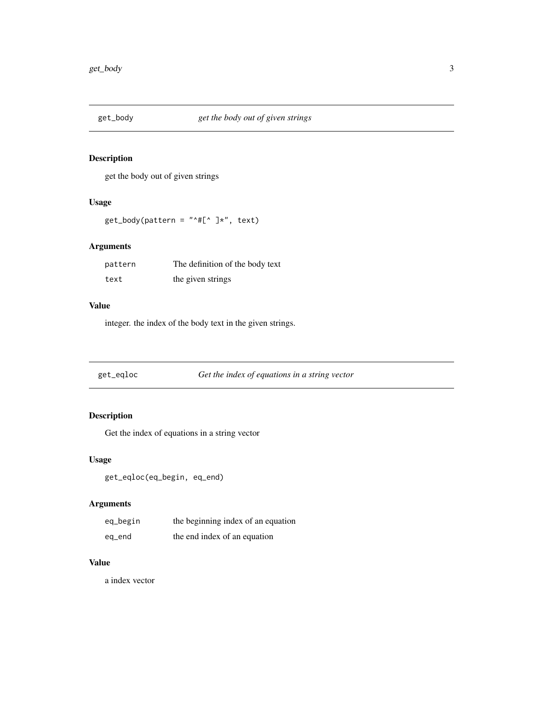<span id="page-2-0"></span>

get the body out of given strings

#### Usage

```
get\_body(pattern = "^#[^` ]*", text)
```
#### Arguments

| pattern | The definition of the body text |
|---------|---------------------------------|
| text    | the given strings               |

#### Value

integer. the index of the body text in the given strings.

get\_eqloc *Get the index of equations in a string vector*

#### Description

Get the index of equations in a string vector

#### Usage

```
get_eqloc(eq_begin, eq_end)
```
#### Arguments

| eq_begin | the beginning index of an equation |
|----------|------------------------------------|
| eg_end   | the end index of an equation       |

#### Value

a index vector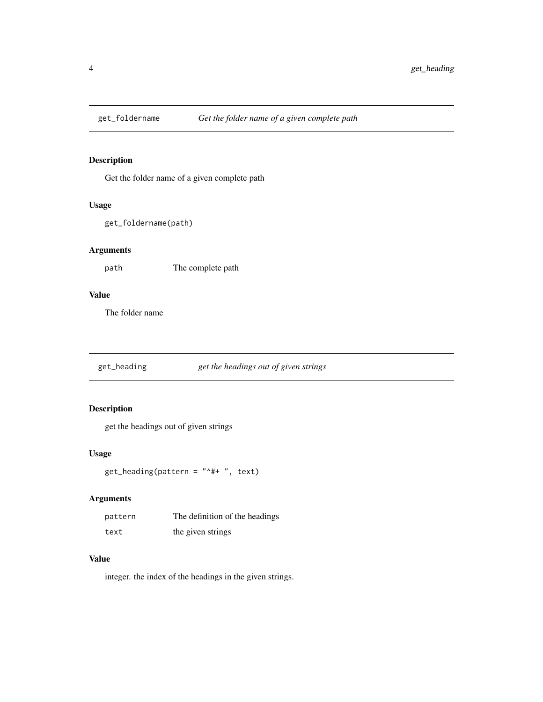<span id="page-3-0"></span>

Get the folder name of a given complete path

#### Usage

```
get_foldername(path)
```
#### Arguments

path The complete path

#### Value

The folder name

get\_heading *get the headings out of given strings*

#### Description

get the headings out of given strings

#### Usage

get\_heading(pattern = "^#+ ", text)

#### Arguments

| pattern | The definition of the headings |
|---------|--------------------------------|
| text    | the given strings              |

#### Value

integer. the index of the headings in the given strings.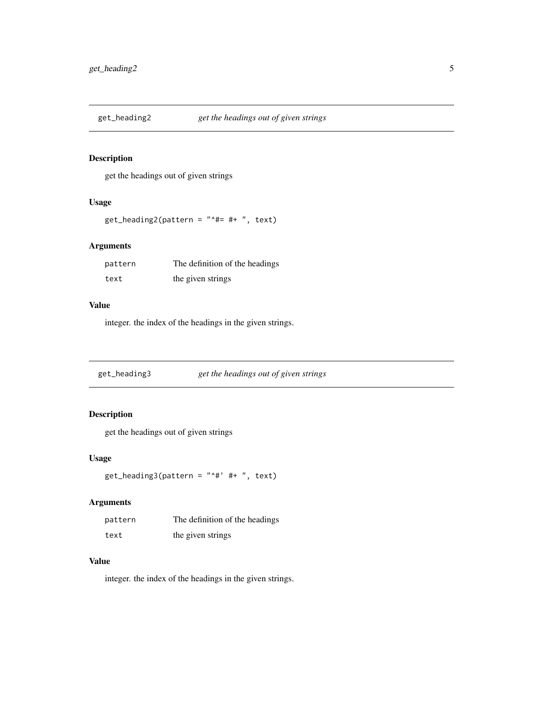<span id="page-4-0"></span>

get the headings out of given strings

#### Usage

```
get_heading2(pattern = "^#= #+ ", text)
```
#### Arguments

| pattern | The definition of the headings |
|---------|--------------------------------|
| text    | the given strings              |

#### Value

integer. the index of the headings in the given strings.

get\_heading3 *get the headings out of given strings*

#### Description

get the headings out of given strings

#### Usage

get\_heading3(pattern = "^#' #+ ", text)

#### Arguments

| pattern | The definition of the headings |
|---------|--------------------------------|
| text    | the given strings              |

#### Value

integer. the index of the headings in the given strings.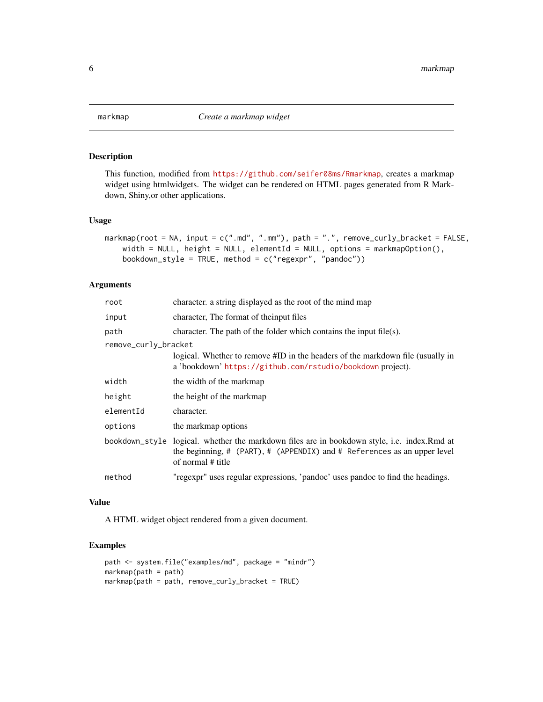<span id="page-5-0"></span>

This function, modified from <https://github.com/seifer08ms/Rmarkmap>, creates a markmap widget using htmlwidgets. The widget can be rendered on HTML pages generated from R Markdown, Shiny,or other applications.

#### Usage

```
markmap(root = NA, input = c(".md", ".mm"), path = ".", remove_curly_bracket = FALSE,
   width = NULL, height = NULL, elementId = NULL, options = markmapOption(),
   bookdown_style = TRUE, method = c("regexpr", "pandoc"))
```
#### Arguments

| root                 | character, a string displayed as the root of the mind map                                                                                                                                    |
|----------------------|----------------------------------------------------------------------------------------------------------------------------------------------------------------------------------------------|
| input                | character, The format of the input files                                                                                                                                                     |
| path                 | character. The path of the folder which contains the input file(s).                                                                                                                          |
| remove_curly_bracket |                                                                                                                                                                                              |
|                      | logical. Whether to remove #ID in the headers of the markdown file (usually in<br>a 'bookdown' https://github.com/rstudio/bookdown project).                                                 |
| width                | the width of the markmap                                                                                                                                                                     |
| height               | the height of the markmap                                                                                                                                                                    |
| elementId            | character.                                                                                                                                                                                   |
| options              | the markmap options                                                                                                                                                                          |
|                      | bookdown_style logical. whether the markdown files are in bookdown style, i.e. index.Rmd at<br>the beginning, # (PART), # (APPENDIX) and # References as an upper level<br>of normal # title |
| method               | "regexpr" uses regular expressions, 'pandoc' uses pandoc to find the headings.                                                                                                               |
|                      |                                                                                                                                                                                              |

#### Value

A HTML widget object rendered from a given document.

```
path <- system.file("examples/md", package = "mindr")
markmap(path = path)
markmap(path = path, remove_curly_bracket = TRUE)
```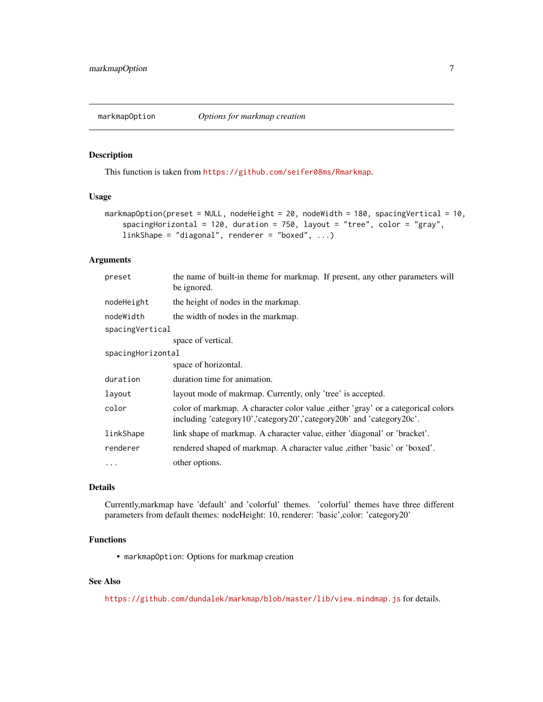<span id="page-6-0"></span>

This function is taken from <https://github.com/seifer08ms/Rmarkmap>.

#### Usage

```
markmapOption(preset = NULL, nodeHeight = 20, nodeWidth = 180, spacingVertical = 10,
    spacingHorizontal = 120, duration = 750, layout = "tree", color = "gray",
    linkShape = "diagonal", renderer = "boxed", \dots)
```
#### Arguments

| the name of built-in theme for markmap. If present, any other parameters will<br>be ignored.                                                             |  |  |
|----------------------------------------------------------------------------------------------------------------------------------------------------------|--|--|
| the height of nodes in the markmap.                                                                                                                      |  |  |
| the width of nodes in the markmap.                                                                                                                       |  |  |
| spacingVertical                                                                                                                                          |  |  |
| space of vertical.                                                                                                                                       |  |  |
| spacingHorizontal                                                                                                                                        |  |  |
| space of horizontal.                                                                                                                                     |  |  |
| duration time for animation.                                                                                                                             |  |  |
| layout mode of makrmap. Currently, only 'tree' is accepted.                                                                                              |  |  |
| color of markmap. A character color value, either 'gray' or a categorical colors<br>including 'category10','category20','category20b' and 'category20c'. |  |  |
| link shape of markmap. A character value, either 'diagonal' or 'bracket'.                                                                                |  |  |
| rendered shaped of markmap. A character value , either 'basic' or 'boxed'.                                                                               |  |  |
| other options.                                                                                                                                           |  |  |
|                                                                                                                                                          |  |  |

#### Details

Currently,markmap have 'default' and 'colorful' themes. 'colorful' themes have three different parameters from default themes: nodeHeight: 10, renderer: 'basic',color: 'category20'

#### Functions

• markmapOption: Options for markmap creation

#### See Also

<https://github.com/dundalek/markmap/blob/master/lib/view.mindmap.js> for details.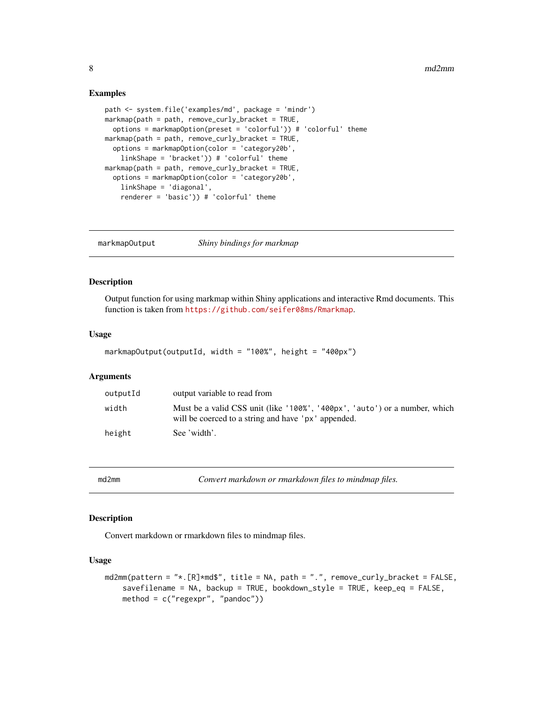#### Examples

```
path <- system.file('examples/md', package = 'mindr')
markmap(path = path, remove_curly_bracket = TRUE,options = markmapOption(preset = 'colorful')) # 'colorful' theme
markmap(path = path, remove_curly_bracket = TRUE,
  options = markmapOption(color = 'category20b',
   linkShape = 'bracket')) # 'colorful' theme
markmap(path = path, remove_curly_lstack = TRUE,options = markmapOption(color = 'category20b',
    linkShape = 'diagonal',
    renderer = 'basic')) # 'colorful' theme
```
markmapOutput *Shiny bindings for markmap*

#### Description

Output function for using markmap within Shiny applications and interactive Rmd documents. This function is taken from <https://github.com/seifer08ms/Rmarkmap>.

#### Usage

```
markmapOutput(outputId, width = "100%", height = "400px")
```
#### Arguments

| outputId | output variable to read from                                                                                                      |
|----------|-----------------------------------------------------------------------------------------------------------------------------------|
| width    | Must be a valid CSS unit (like '100%', '400px', 'auto') or a number, which<br>will be coerced to a string and have 'px' appended. |
| height   | See 'width'.                                                                                                                      |

md2mm *Convert markdown or rmarkdown files to mindmap files.*

#### Description

Convert markdown or rmarkdown files to mindmap files.

#### Usage

```
md2mm(pattern = "*.[R]*md$", title = NA, path = ".", remove_curly_bracket = FALSE,
   savefilename = NA, backup = TRUE, bookdown_style = TRUE, keep_eq = FALSE,
   method = c("regexpr", "pandoc"))
```
<span id="page-7-0"></span>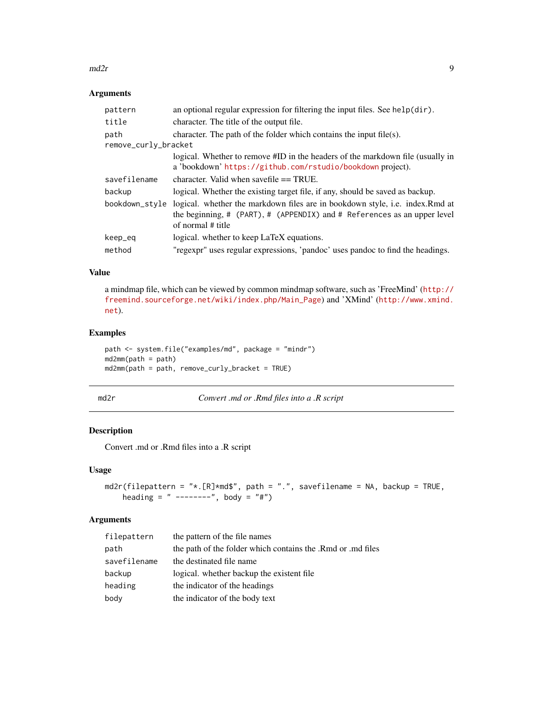#### <span id="page-8-0"></span> $\frac{m}{2r}$  9

#### Arguments

| pattern              | an optional regular expression for filtering the input files. See help(dir).                                                                                                   |  |
|----------------------|--------------------------------------------------------------------------------------------------------------------------------------------------------------------------------|--|
| title                | character. The title of the output file.                                                                                                                                       |  |
| path                 | character. The path of the folder which contains the input file(s).                                                                                                            |  |
| remove_curly_bracket |                                                                                                                                                                                |  |
|                      | logical. Whether to remove #ID in the headers of the markdown file (usually in<br>a 'bookdown' https://github.com/rstudio/bookdown project).                                   |  |
| savefilename         | character. Valid when save file $==$ TRUE.                                                                                                                                     |  |
| backup               | logical. Whether the existing target file, if any, should be saved as backup.                                                                                                  |  |
| bookdown_style       | logical. whether the markdown files are in bookdown style, i.e. index. Rmd at<br>the beginning, # (PART), # (APPENDIX) and # References as an upper level<br>of normal # title |  |
| keep_eq              | logical. whether to keep LaTeX equations.                                                                                                                                      |  |
| method               | "regexpr" uses regular expressions, 'pandoc' uses pandoc to find the headings.                                                                                                 |  |

#### Value

a mindmap file, which can be viewed by common mindmap software, such as 'FreeMind' ([http://](http://freemind.sourceforge.net/wiki/index.php/Main_Page) [freemind.sourceforge.net/wiki/index.php/Main\\_Page](http://freemind.sourceforge.net/wiki/index.php/Main_Page)) and 'XMind' ([http://www.xmind.](http://www.xmind.net) [net](http://www.xmind.net)).

#### Examples

```
path <- system.file("examples/md", package = "mindr")
md2mm(path = path)
md2mm(path = path, remove_curly_bracket = TRUE)
```
md2r *Convert .md or .Rmd files into a .R script*

#### Description

Convert .md or .Rmd files into a .R script

#### Usage

```
md2r(filepattern = "*.[R]*md$", path = ".", savefilename = NA, backup = TRUE,
   heading = " --------", body = "#")
```

| filepattern  | the pattern of the file names                               |
|--------------|-------------------------------------------------------------|
| path         | the path of the folder which contains the .Rmd or .md files |
| savefilename | the destinated file name                                    |
| backup       | logical. whether backup the existent file.                  |
| heading      | the indicator of the headings                               |
| body         | the indicator of the body text                              |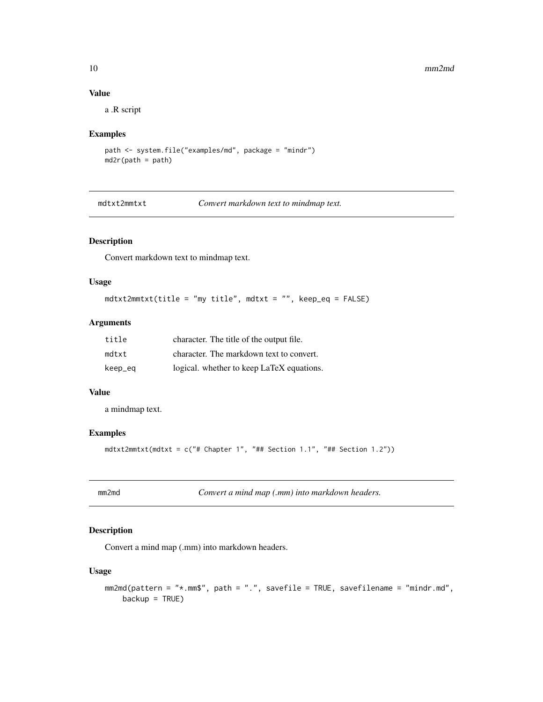#### 10 mm2md

#### Value

a .R script

#### Examples

```
path <- system.file("examples/md", package = "mindr")
md2r(path = path)
```
mdtxt2mmtxt *Convert markdown text to mindmap text.*

#### Description

Convert markdown text to mindmap text.

#### Usage

mdtxt2mmtxt(title = "my title", mdtxt = "", keep\_eq = FALSE)

#### Arguments

| title   | character. The title of the output file.  |
|---------|-------------------------------------------|
| mdtxt   | character. The markdown text to convert.  |
| keep_eq | logical. whether to keep LaTeX equations. |

#### Value

a mindmap text.

#### Examples

mdtxt2mmtxt(mdtxt = c("# Chapter 1", "## Section 1.1", "## Section 1.2"))

| mm∕mo |  |  |
|-------|--|--|
|       |  |  |

d **Convert a mind map (.mm) into markdown headers.** 

#### Description

Convert a mind map (.mm) into markdown headers.

#### Usage

```
mm2md(pattern = "*.mm$", path = ".", savefile = TRUE, savefilename = "mindr.md",
   backup = TRUE)
```
<span id="page-9-0"></span>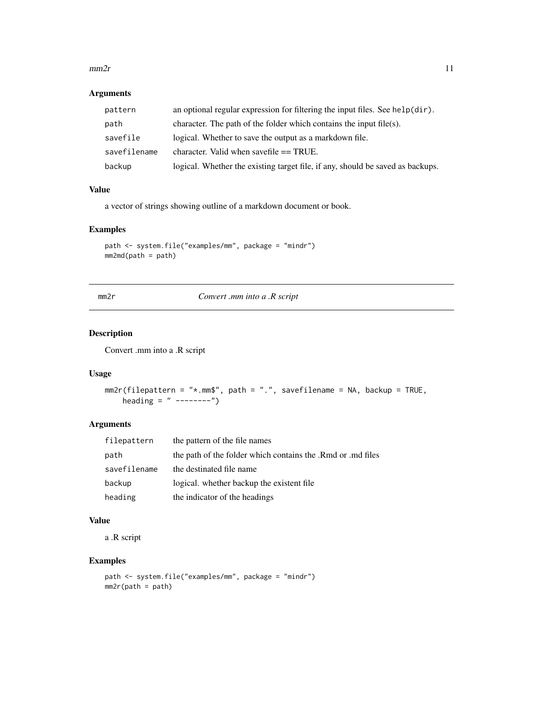#### <span id="page-10-0"></span> $mm2r$  11

#### Arguments

| pattern      | an optional regular expression for filtering the input files. See $helpdir)$ . |
|--------------|--------------------------------------------------------------------------------|
| path         | character. The path of the folder which contains the input file(s).            |
| savefile     | logical. Whether to save the output as a markdown file.                        |
| savefilename | character. Valid when save file $==$ TRUE.                                     |
| backup       | logical. Whether the existing target file, if any, should be saved as backups. |

#### Value

a vector of strings showing outline of a markdown document or book.

#### Examples

```
path <- system.file("examples/mm", package = "mindr")
mm2md(path = path)
```
mm2r *Convert .mm into a .R script*

#### Description

Convert .mm into a .R script

#### Usage

```
mm2r(filepattern = "*.mm$", path = ".", savefilename = NA, backup = TRUE,heading = " --------")
```
#### Arguments

| filepattern  | the pattern of the file names                               |
|--------------|-------------------------------------------------------------|
| path         | the path of the folder which contains the .Rmd or .md files |
| savefilename | the destinated file name                                    |
| backup       | logical. whether backup the existent file.                  |
| heading      | the indicator of the headings                               |

#### Value

a .R script

```
path <- system.file("examples/mm", package = "mindr")
mm2r(path = path)
```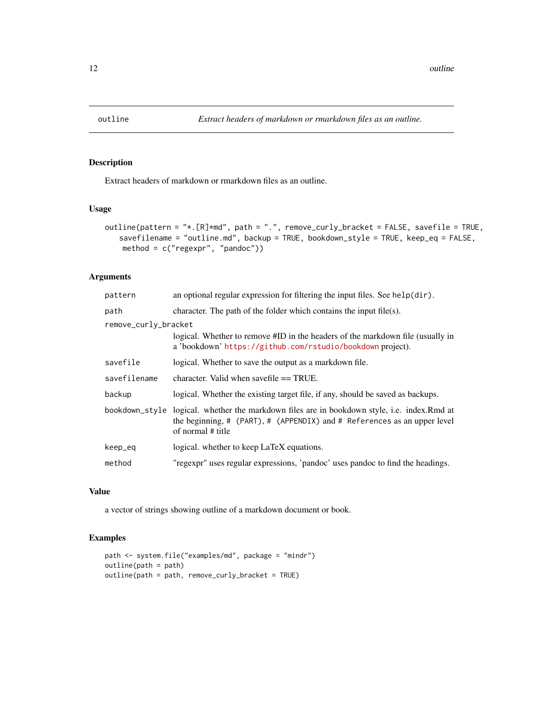<span id="page-11-0"></span>

Extract headers of markdown or rmarkdown files as an outline.

#### Usage

```
outline(pattern = "*.[R]*md", path = ".", remove_curly_bracket = FALSE, savefile = TRUE,
   savefilename = "outline.md", backup = TRUE, bookdown_style = TRUE, keep_eq = FALSE,
   method = c("regexpr", "pandoc"))
```
#### Arguments

| pattern              | an optional regular expression for filtering the input files. See $helpdir)$ .                                                                                                 |
|----------------------|--------------------------------------------------------------------------------------------------------------------------------------------------------------------------------|
| path                 | character. The path of the folder which contains the input file(s).                                                                                                            |
| remove_curly_bracket |                                                                                                                                                                                |
|                      | logical. Whether to remove #ID in the headers of the markdown file (usually in<br>a 'bookdown' https://github.com/rstudio/bookdown project).                                   |
| savefile             | logical. Whether to save the output as a markdown file.                                                                                                                        |
| savefilename         | character. Valid when savefile $==$ TRUE.                                                                                                                                      |
| backup               | logical. Whether the existing target file, if any, should be saved as backups.                                                                                                 |
| bookdown_style       | logical. whether the markdown files are in bookdown style, i.e. index. Rmd at<br>the beginning, # (PART), # (APPENDIX) and # References as an upper level<br>of normal # title |
| keep_eq              | logical. whether to keep LaTeX equations.                                                                                                                                      |
| method               | "regexpr" uses regular expressions, 'pandoc' uses pandoc to find the headings.                                                                                                 |

#### Value

a vector of strings showing outline of a markdown document or book.

```
path <- system.file("examples/md", package = "mindr")
outline(path = path)
outline(path = path, remove_curly_bracket = TRUE)
```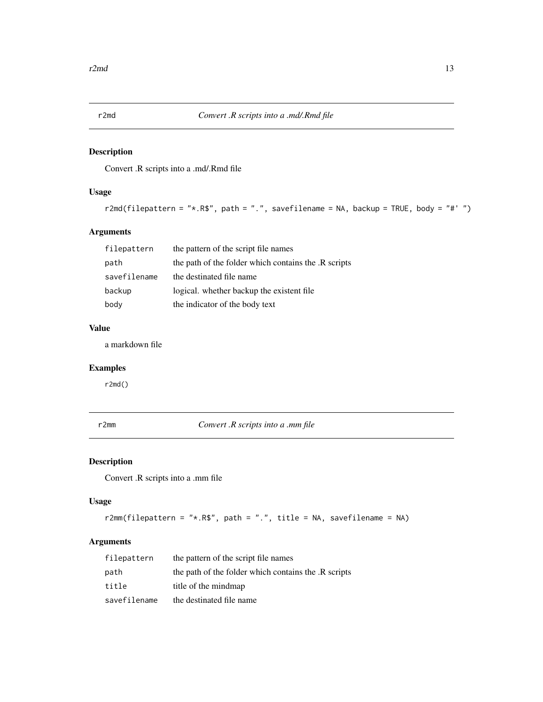<span id="page-12-0"></span>

Convert .R scripts into a .md/.Rmd file

#### Usage

```
r2md(filepattern = "*.R$", path = ".", savefilename = NA, backup = TRUE, body = "#' ")
```
#### Arguments

| filepattern  | the pattern of the script file names                 |
|--------------|------------------------------------------------------|
| path         | the path of the folder which contains the .R scripts |
| savefilename | the destinated file name                             |
| backup       | logical, whether backup the existent file.           |
| body         | the indicator of the body text                       |

#### Value

a markdown file

#### Examples

r2md()

r2mm *Convert .R scripts into a .mm file*

#### Description

Convert .R scripts into a .mm file

#### Usage

```
r2mm(filepattern = "*.R$", path = ".", title = NA, savefilename = NA)
```

| filepattern  | the pattern of the script file names                 |
|--------------|------------------------------------------------------|
| path         | the path of the folder which contains the .R scripts |
| title        | title of the mindmap                                 |
| savefilename | the destinated file name                             |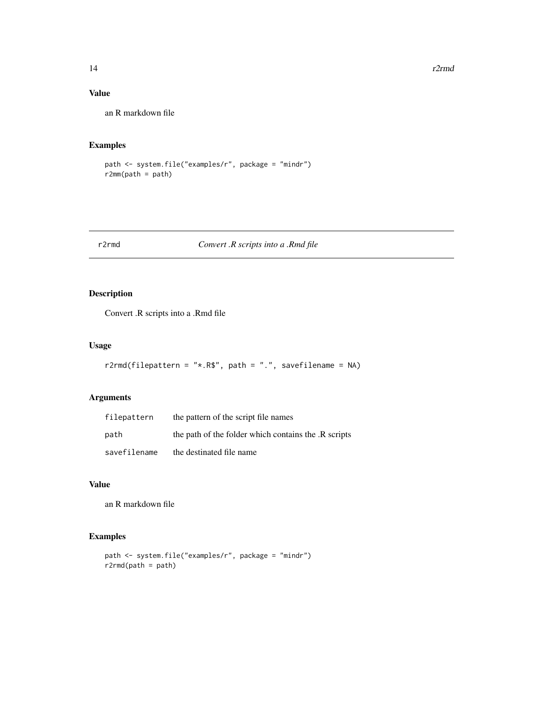#### Value

an R markdown file

#### Examples

```
path <- system.file("examples/r", package = "mindr")
r2mm(path = path)
```
#### r2rmd *Convert .R scripts into a .Rmd file*

#### Description

Convert .R scripts into a .Rmd file

#### Usage

```
r2rmd(filepattern = "*.R$", path = ".", savefilename = NA)
```
#### Arguments

| filepattern  | the pattern of the script file names                 |
|--------------|------------------------------------------------------|
| path         | the path of the folder which contains the .R scripts |
| savefilename | the destinated file name                             |

#### Value

an R markdown file

```
path <- system.file("examples/r", package = "mindr")
r2rmd(path = path)
```
<span id="page-13-0"></span>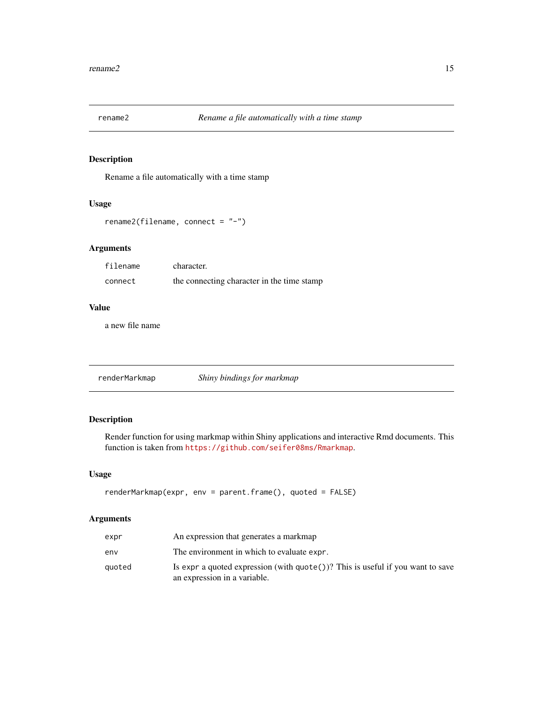<span id="page-14-0"></span>

Rename a file automatically with a time stamp

#### Usage

```
rename2(filename, connect = "-")
```
#### Arguments

| filename | character.                                 |
|----------|--------------------------------------------|
| connect  | the connecting character in the time stamp |

#### Value

a new file name

renderMarkmap *Shiny bindings for markmap*

#### Description

Render function for using markmap within Shiny applications and interactive Rmd documents. This function is taken from <https://github.com/seifer08ms/Rmarkmap>.

#### Usage

```
renderMarkmap(expr, env = parent.frame(), quoted = FALSE)
```

| expr   | An expression that generates a markmap                                                                                   |
|--------|--------------------------------------------------------------------------------------------------------------------------|
| env    | The environment in which to evaluate expr.                                                                               |
| quoted | Is expr a quoted expression (with $\text{quote}()$ )? This is useful if you want to save<br>an expression in a variable. |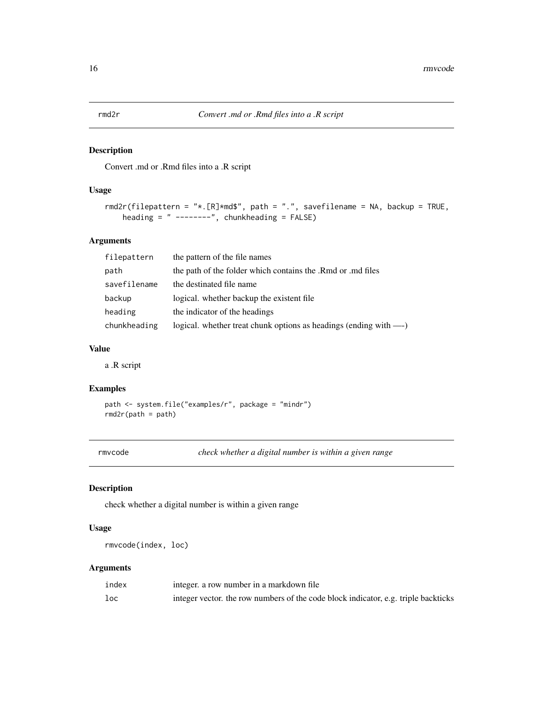<span id="page-15-0"></span>

Convert .md or .Rmd files into a .R script

#### Usage

```
rmd2r(filepattern = "*.[R]*md$", path = ".", savefilename = NA, backup = TRUE,
   heading = " --------", chunkheading = FALSE)
```
#### Arguments

| filepattern  | the pattern of the file names                                      |
|--------------|--------------------------------------------------------------------|
| path         | the path of the folder which contains the .Rmd or .md files        |
| savefilename | the destinated file name                                           |
| backup       | logical. whether backup the existent file.                         |
| heading      | the indicator of the headings                                      |
| chunkheading | logical. whether treat chunk options as headings (ending with ---) |

#### Value

a .R script

#### Examples

path <- system.file("examples/r", package = "mindr")  $rmd2r(path = path)$ 

rmvcode *check whether a digital number is within a given range*

#### Description

check whether a digital number is within a given range

#### Usage

rmvcode(index, loc)

| index | integer, a row number in a markdown file                                           |
|-------|------------------------------------------------------------------------------------|
| loc   | integer vector, the row numbers of the code block indicator, e.g. triple backticks |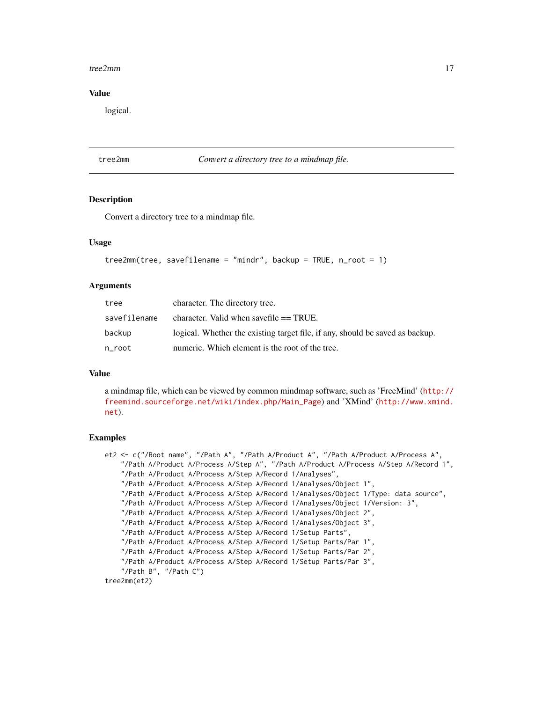#### <span id="page-16-0"></span>tree2mm and the state of the state of the state of the state of the state of the state of the state of the state of the state of the state of the state of the state of the state of the state of the state of the state of th

#### Value

logical.

tree2mm *Convert a directory tree to a mindmap file.*

#### **Description**

Convert a directory tree to a mindmap file.

#### Usage

```
tree2mm(tree, savefilename = "mindr", backup = TRUE, n\_root = 1)
```
#### Arguments

| tree         | character. The directory tree.                                                |  |
|--------------|-------------------------------------------------------------------------------|--|
| savefilename | character. Valid when save file $==$ TRUE.                                    |  |
| backup       | logical. Whether the existing target file, if any, should be saved as backup. |  |
| n_root       | numeric. Which element is the root of the tree.                               |  |

#### Value

a mindmap file, which can be viewed by common mindmap software, such as 'FreeMind' ([http://](http://freemind.sourceforge.net/wiki/index.php/Main_Page) [freemind.sourceforge.net/wiki/index.php/Main\\_Page](http://freemind.sourceforge.net/wiki/index.php/Main_Page)) and 'XMind' ([http://www.xmind.](http://www.xmind.net) [net](http://www.xmind.net)).

```
et2 <- c("/Root name", "/Path A", "/Path A/Product A", "/Path A/Product A/Process A",
    "/Path A/Product A/Process A/Step A", "/Path A/Product A/Process A/Step A/Record 1",
    "/Path A/Product A/Process A/Step A/Record 1/Analyses",
    "/Path A/Product A/Process A/Step A/Record 1/Analyses/Object 1",
    "/Path A/Product A/Process A/Step A/Record 1/Analyses/Object 1/Type: data source",
    "/Path A/Product A/Process A/Step A/Record 1/Analyses/Object 1/Version: 3",
    "/Path A/Product A/Process A/Step A/Record 1/Analyses/Object 2",
    "/Path A/Product A/Process A/Step A/Record 1/Analyses/Object 3",
    "/Path A/Product A/Process A/Step A/Record 1/Setup Parts",
    "/Path A/Product A/Process A/Step A/Record 1/Setup Parts/Par 1",
    "/Path A/Product A/Process A/Step A/Record 1/Setup Parts/Par 2",
    "/Path A/Product A/Process A/Step A/Record 1/Setup Parts/Par 3",
    "/Path B", "/Path C")
tree2mm(et2)
```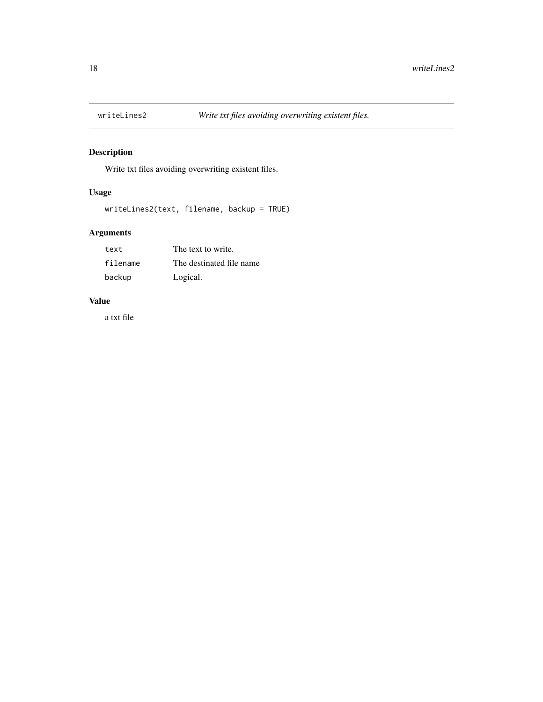<span id="page-17-0"></span>

Write txt files avoiding overwriting existent files.

#### Usage

```
writeLines2(text, filename, backup = TRUE)
```
#### Arguments

| text     | The text to write.       |
|----------|--------------------------|
| filename | The destinated file name |
| backup   | Logical.                 |

#### Value

a txt file